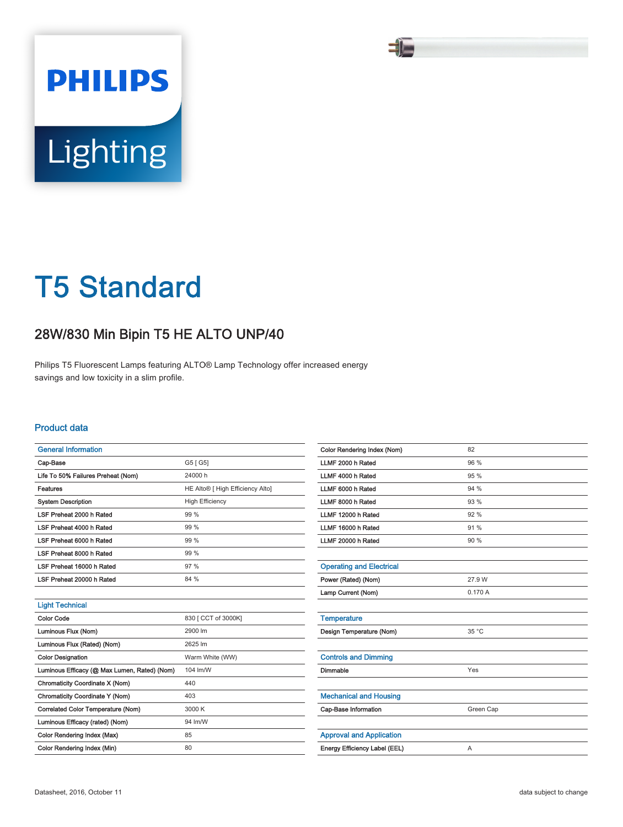

# T5 Standard

## 28W/830 Min Bipin T5 HE ALTO UNP/40

Philips T5 Fluorescent Lamps featuring ALTO® Lamp Technology offer increased energy savings and low toxicity in a slim profile.

### Product data

| <b>General Information</b>                   |                                              |
|----------------------------------------------|----------------------------------------------|
| Cap-Base                                     | G5 [ G5]                                     |
| Life To 50% Failures Preheat (Nom)           | 24000h                                       |
| <b>Features</b>                              | HE Alto <sup>®</sup> [ High Efficiency Alto] |
| <b>System Description</b>                    | <b>High Efficiency</b>                       |
| LSF Preheat 2000 h Rated                     | 99 %                                         |
| LSF Preheat 4000 h Rated                     | 99 %                                         |
| LSF Preheat 6000 h Rated                     | 99 %                                         |
| LSF Preheat 8000 h Rated                     | 99%                                          |
| LSF Preheat 16000 h Rated                    | 97%                                          |
| LSF Preheat 20000 h Rated                    | 84 %                                         |
|                                              |                                              |
| <b>Light Technical</b>                       |                                              |
| Color Code                                   | 830 [ CCT of 3000K]                          |
| Luminous Flux (Nom)                          | 2900 lm                                      |
| Luminous Flux (Rated) (Nom)                  | 2625 lm                                      |
| <b>Color Designation</b>                     | Warm White (WW)                              |
| Luminous Efficacy (@ Max Lumen, Rated) (Nom) | 104 lm/W                                     |
| Chromaticity Coordinate X (Nom)              | 440                                          |
| Chromaticity Coordinate Y (Nom)              | 403                                          |
| Correlated Color Temperature (Nom)           | 3000 K                                       |
| Luminous Efficacy (rated) (Nom)              | 94 lm/W                                      |
| Color Rendering Index (Max)                  | 85                                           |
| Color Rendering Index (Min)                  | 80                                           |

| 82             |
|----------------|
| 96 %           |
| 95 %           |
| 94 %           |
| 93 %           |
| 92 %           |
| 91 %           |
| 90 %           |
|                |
|                |
| 27.9 W         |
| 0.170A         |
|                |
|                |
| $35^{\circ}$ C |
|                |
|                |
| Yes            |
|                |
|                |
| Green Cap      |
|                |
|                |
| A              |
|                |